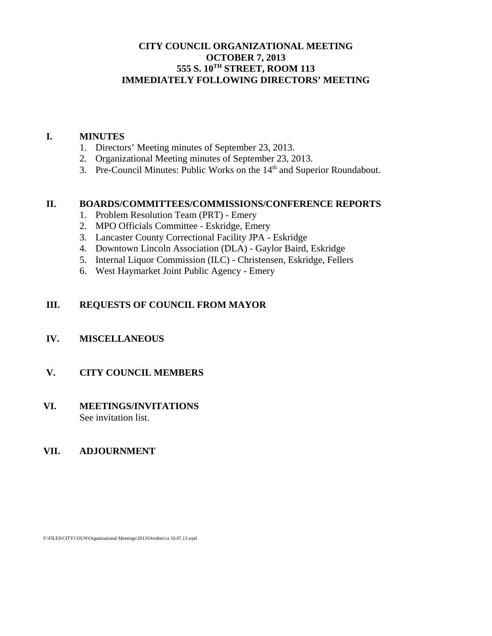### **CITY COUNCIL ORGANIZATIONAL MEETING OCTOBER 7, 2013 555 S. 10TH STREET, ROOM 113 IMMEDIATELY FOLLOWING DIRECTORS' MEETING**

#### **I. MINUTES**

- 1. Directors' Meeting minutes of September 23, 2013.
- 2. Organizational Meeting minutes of September 23, 2013.
- 3. Pre-Council Minutes: Public Works on the  $14<sup>th</sup>$  and Superior Roundabout.

#### **II. BOARDS/COMMITTEES/COMMISSIONS/CONFERENCE REPORTS**

- 1. Problem Resolution Team (PRT) Emery
- 2. MPO Officials Committee Eskridge, Emery
- 3. Lancaster County Correctional Facility JPA Eskridge
- 4. Downtown Lincoln Association (DLA) Gaylor Baird, Eskridge
- 5. Internal Liquor Commission (ILC) Christensen, Eskridge, Fellers
- 6. West Haymarket Joint Public Agency Emery

### **III. REQUESTS OF COUNCIL FROM MAYOR**

### **IV. MISCELLANEOUS**

# **V. CITY COUNCIL MEMBERS**

#### **VI. MEETINGS/INVITATIONS** See invitation list.

### **VII. ADJOURNMENT**

F:\FILES\CITYCOUN\Organizational Meetings\2013\October\ca 10.07.13.wpd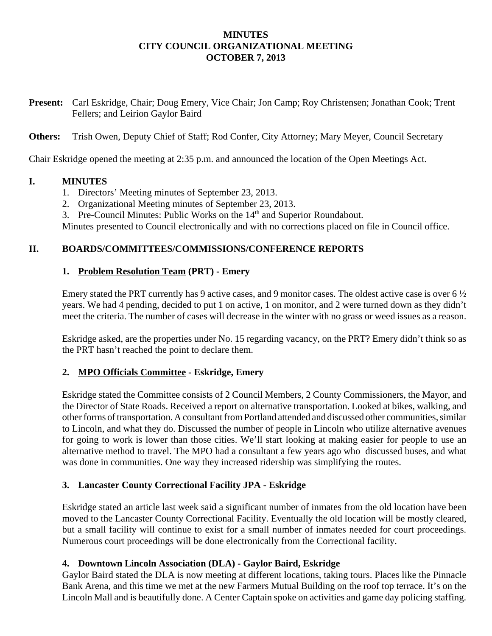### **MINUTES CITY COUNCIL ORGANIZATIONAL MEETING OCTOBER 7, 2013**

- **Present:** Carl Eskridge, Chair; Doug Emery, Vice Chair; Jon Camp; Roy Christensen; Jonathan Cook; Trent Fellers; and Leirion Gaylor Baird
- **Others:** Trish Owen, Deputy Chief of Staff; Rod Confer, City Attorney; Mary Meyer, Council Secretary

Chair Eskridge opened the meeting at 2:35 p.m. and announced the location of the Open Meetings Act.

# **I. MINUTES**

- 1. Directors' Meeting minutes of September 23, 2013.
- 2. Organizational Meeting minutes of September 23, 2013.
- 3. Pre-Council Minutes: Public Works on the 14<sup>th</sup> and Superior Roundabout.

Minutes presented to Council electronically and with no corrections placed on file in Council office.

# **II. BOARDS/COMMITTEES/COMMISSIONS/CONFERENCE REPORTS**

# **1. Problem Resolution Team (PRT) - Emery**

Emery stated the PRT currently has 9 active cases, and 9 monitor cases. The oldest active case is over  $6\frac{1}{2}$ years. We had 4 pending, decided to put 1 on active, 1 on monitor, and 2 were turned down as they didn't meet the criteria. The number of cases will decrease in the winter with no grass or weed issues as a reason.

Eskridge asked, are the properties under No. 15 regarding vacancy, on the PRT? Emery didn't think so as the PRT hasn't reached the point to declare them.

# **2. MPO Officials Committee - Eskridge, Emery**

Eskridge stated the Committee consists of 2 Council Members, 2 County Commissioners, the Mayor, and the Director of State Roads. Received a report on alternative transportation. Looked at bikes, walking, and other forms of transportation. A consultant from Portland attended and discussed other communities, similar to Lincoln, and what they do. Discussed the number of people in Lincoln who utilize alternative avenues for going to work is lower than those cities. We'll start looking at making easier for people to use an alternative method to travel. The MPO had a consultant a few years ago who discussed buses, and what was done in communities. One way they increased ridership was simplifying the routes.

### **3. Lancaster County Correctional Facility JPA - Eskridge**

Eskridge stated an article last week said a significant number of inmates from the old location have been moved to the Lancaster County Correctional Facility. Eventually the old location will be mostly cleared, but a small facility will continue to exist for a small number of inmates needed for court proceedings. Numerous court proceedings will be done electronically from the Correctional facility.

### **4. Downtown Lincoln Association (DLA) - Gaylor Baird, Eskridge**

Gaylor Baird stated the DLA is now meeting at different locations, taking tours. Places like the Pinnacle Bank Arena, and this time we met at the new Farmers Mutual Building on the roof top terrace. It's on the Lincoln Mall and is beautifully done. A Center Captain spoke on activities and game day policing staffing.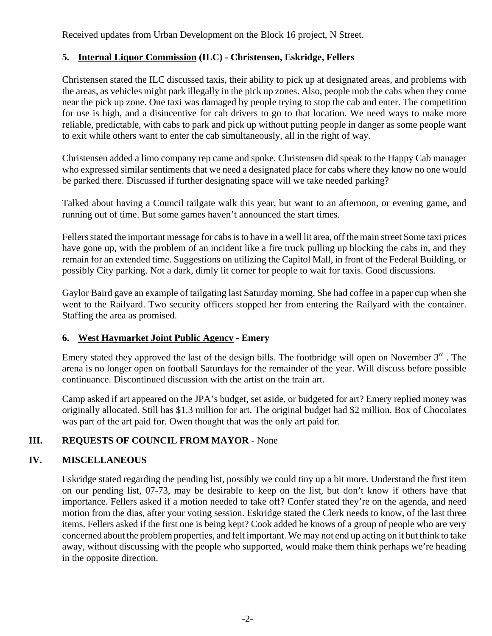Received updates from Urban Development on the Block 16 project, N Street.

# **5. Internal Liquor Commission (ILC) - Christensen, Eskridge, Fellers**

Christensen stated the ILC discussed taxis, their ability to pick up at designated areas, and problems with the areas, as vehicles might park illegally in the pick up zones. Also, people mob the cabs when they come near the pick up zone. One taxi was damaged by people trying to stop the cab and enter. The competition for use is high, and a disincentive for cab drivers to go to that location. We need ways to make more reliable, predictable, with cabs to park and pick up without putting people in danger as some people want to exit while others want to enter the cab simultaneously, all in the right of way.

Christensen added a limo company rep came and spoke. Christensen did speak to the Happy Cab manager who expressed similar sentiments that we need a designated place for cabs where they know no one would be parked there. Discussed if further designating space will we take needed parking?

Talked about having a Council tailgate walk this year, but want to an afternoon, or evening game, and running out of time. But some games haven't announced the start times.

Fellers stated the important message for cabs is to have in a well lit area, off the main street Some taxi prices have gone up, with the problem of an incident like a fire truck pulling up blocking the cabs in, and they remain for an extended time. Suggestions on utilizing the Capitol Mall, in front of the Federal Building, or possibly City parking. Not a dark, dimly lit corner for people to wait for taxis. Good discussions.

Gaylor Baird gave an example of tailgating last Saturday morning. She had coffee in a paper cup when she went to the Railyard. Two security officers stopped her from entering the Railyard with the container. Staffing the area as promised.

### **6. West Haymarket Joint Public Agency - Emery**

Emery stated they approved the last of the design bills. The footbridge will open on November  $3<sup>rd</sup>$ . The arena is no longer open on football Saturdays for the remainder of the year. Will discuss before possible continuance. Discontinued discussion with the artist on the train art.

Camp asked if art appeared on the JPA's budget, set aside, or budgeted for art? Emery replied money was originally allocated. Still has \$1.3 million for art. The original budget had \$2 million. Box of Chocolates was part of the art paid for. Owen thought that was the only art paid for.

### **III. REQUESTS OF COUNCIL FROM MAYOR** - None

### **IV. MISCELLANEOUS**

Eskridge stated regarding the pending list, possibly we could tiny up a bit more. Understand the first item on our pending list, 07-73, may be desirable to keep on the list, but don't know if others have that importance. Fellers asked if a motion needed to take off? Confer stated they're on the agenda, and need motion from the dias, after your voting session. Eskridge stated the Clerk needs to know, of the last three items. Fellers asked if the first one is being kept? Cook added he knows of a group of people who are very concerned about the problem properties, and felt important. We may not end up acting on it but think to take away, without discussing with the people who supported, would make them think perhaps we're heading in the opposite direction.